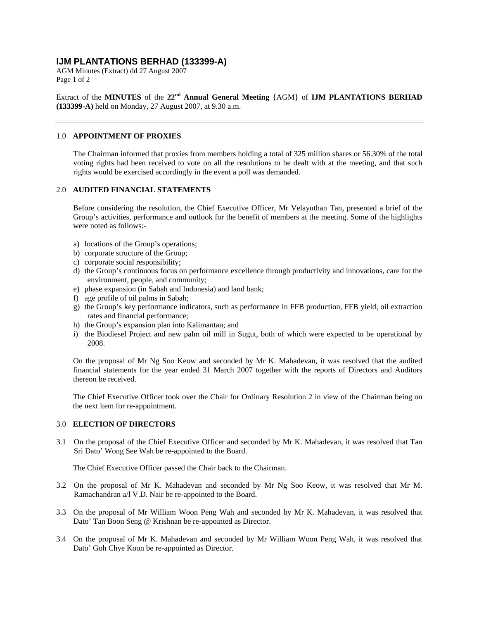# **IJM PLANTATIONS BERHAD (133399-A)**

AGM Minutes (Extract) dd 27 August 2007 Page 1 of 2

Extract of the **MINUTES** of the 22<sup>nd</sup> Annual General Meeting {AGM} of **IJM PLANTATIONS BERHAD (133399-A)** held on Monday, 27 August 2007, at 9.30 a.m.

### 1.0 **APPOINTMENT OF PROXIES**

The Chairman informed that proxies from members holding a total of 325 million shares or 56.30% of the total voting rights had been received to vote on all the resolutions to be dealt with at the meeting, and that such rights would be exercised accordingly in the event a poll was demanded.

## 2.0 **AUDITED FINANCIAL STATEMENTS**

Before considering the resolution, the Chief Executive Officer, Mr Velayuthan Tan, presented a brief of the Group's activities, performance and outlook for the benefit of members at the meeting. Some of the highlights were noted as follows:-

- a) locations of the Group's operations;
- b) corporate structure of the Group;
- c) corporate social responsibility;
- d) the Group's continuous focus on performance excellence through productivity and innovations, care for the environment, people, and community;
- e) phase expansion (in Sabah and Indonesia) and land bank;
- f) age profile of oil palms in Sabah;
- g) the Group's key performance indicators, such as performance in FFB production, FFB yield, oil extraction rates and financial performance;
- h) the Group's expansion plan into Kalimantan; and
- i) the Biodiesel Project and new palm oil mill in Sugut, both of which were expected to be operational by 2008.

On the proposal of Mr Ng Soo Keow and seconded by Mr K. Mahadevan, it was resolved that the audited financial statements for the year ended 31 March 2007 together with the reports of Directors and Auditors thereon be received.

The Chief Executive Officer took over the Chair for Ordinary Resolution 2 in view of the Chairman being on the next item for re-appointment.

# 3.0 **ELECTION OF DIRECTORS**

3.1 On the proposal of the Chief Executive Officer and seconded by Mr K. Mahadevan, it was resolved that Tan Sri Dato' Wong See Wah be re-appointed to the Board.

The Chief Executive Officer passed the Chair back to the Chairman.

- 3.2 On the proposal of Mr K. Mahadevan and seconded by Mr Ng Soo Keow, it was resolved that Mr M. Ramachandran a/l V.D. Nair be re-appointed to the Board.
- 3.3 On the proposal of Mr William Woon Peng Wah and seconded by Mr K. Mahadevan, it was resolved that Dato' Tan Boon Seng @ Krishnan be re-appointed as Director.
- 3.4 On the proposal of Mr K. Mahadevan and seconded by Mr William Woon Peng Wah, it was resolved that Dato' Goh Chye Koon be re-appointed as Director.